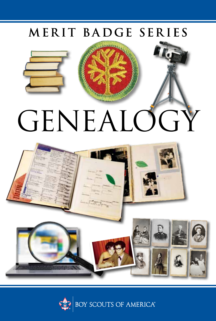### MERIT BADGE SERIES



# GENEALOGY



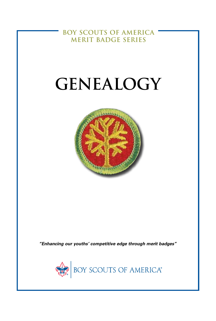**BOY SCOUTS OF AMERICA MERIT BADGE SERIES**

# **GENEALOGY**



*"Enhancing our youths' competitive edge through merit badges"*

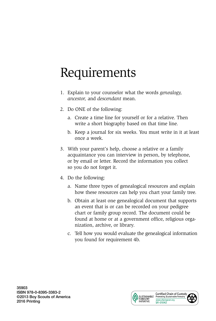# Requirements

- 1. Explain to your counselor what the words *genealogy, ancestor,* and *descendant* mean.
- 2. Do ONE of the following:
	- a. Create a time line for yourself or for a relative. Then write a short biography based on that time line.
	- b. Keep a journal for six weeks. You must write in it at least once a week.
- 3. With your parent's help, choose a relative or a family acquaintance you can interview in person, by telephone, or by email or letter. Record the information you collect so you do not forget it.
- 4. Do the following:
	- a. Name three types of genealogical resources and explain how these resources can help you chart your family tree.
	- b. Obtain at least one genealogical document that supports an event that is or can be recorded on your pedigree chart or family group record. The document could be found at home or at a government office, religious organization, archive, or library.
	- c. Tell how you would evaluate the genealogical information you found for requirement 4b.

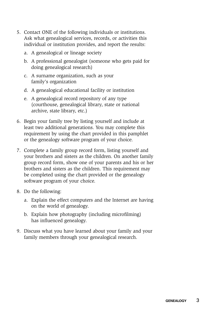- 5. Contact ONE of the following individuals or institutions. Ask what genealogical services, records, or activities this individual or institution provides, and report the results:
	- a. A genealogical or lineage society
	- b. A professional genealogist (someone who gets paid for doing genealogical research)
	- c. A surname organization, such as your family's organization
	- d. A genealogical educational facility or institution
	- e. A genealogical record repository of any type (courthouse, genealogical library, state or national archive, state library, etc.)
- 6. Begin your family tree by listing yourself and include at least two additional generations. You may complete this requirement by using the chart provided in this pamphlet or the genealogy software program of your choice.
- 7. Complete a family group record form, listing yourself and your brothers and sisters as the children. On another family group record form, show one of your parents and his or her brothers and sisters as the children. This requirement may be completed using the chart provided or the genealogy software program of your choice.
- 8. Do the following:
	- a. Explain the effect computers and the Internet are having on the world of genealogy.
	- b. Explain how photography (including microfilming) has influenced genealogy.
- 9. Discuss what you have learned about your family and your family members through your genealogical research.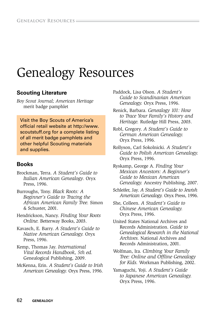## Genealogy Resources

#### **Scouting Literature**

*Boy Scout Journal; American Heritage*  merit badge pamphlet

Visit the Boy Scouts of America's official retail website at http://www. scoutstuff.org for a complete listing of all merit badge pamphlets and other helpful Scouting materials and supplies.

#### **Books**

- Brockman, Terra. *A Student's Guide to Italian American Genealogy*. Oryx Press, 1996.
- Burroughs, Tony. *Black Roots: A Beginner's Guide to Tracing the African American Family Tree.* Simon & Schuster, 2001.
- Hendrickson, Nancy. *Finding Your Roots Online.* Betterway Books, 2003.
- Kavasch, E. Barry. *A Student's Guide to Native American Genealogy.* Oryx Press, 1996.
- Kemp, Thomas Jay. *International Vital Records Handbook, 5th ed.* Genealogical Publishing, 2009.
- McKenna, Erin. *A Student's Guide to Irish American Genealogy.* Oryx Press, 1996.
- Paddock, Lisa Olson. *A Student's Guide to Scandinavian American Genealogy.* Oryx Press, 1996.
- Renick, Barbara. *Genealogy 101: How to Trace Your Family's History and Heritage.* Rutledge Hill Press, 2003.
- Robl, Gregory. *A Student's Guide to German American Genealogy.* Oryx Press, 1996.
- Rollyson, Carl Sokolnicki. *A Student's Guide to Polish American Genealogy.* Oryx Press, 1996.
- Ryskamp, George A. *Finding Your Mexican Ancestors: A Beginner's Guide to Mexican American Genealogy.* Ancestry Publishing, 2007.
- Schleifer, Jay. *A Student's Guide to Jewish American Genealogy.* Oryx Press, 1996.
- She, Colleen. *A Student's Guide to Chinese American Genealogy.* Oryx Press, 1996.
- United States National Archives and Records Administration. *Guide to Genealogical Research in the National Archives.* National Archives and Records Administration, 2001.
- Wolfman, Ira. *Climbing Your Family Tree: Online and Offline Genealogy for Kids.* Workman Publishing, 2002.
- Yamaguchi, Yoji. *A Student's Guide to Japanese American Genealogy.* Oryx Press, 1996.